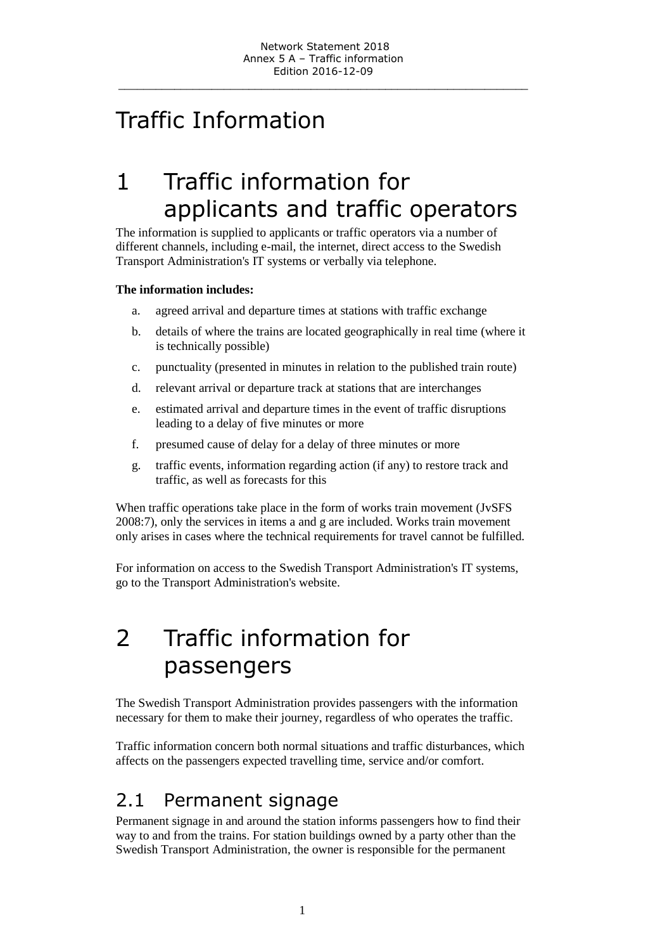# Traffic Information

# 1 Traffic information for applicants and traffic operators

The information is supplied to applicants or traffic operators via a number of different channels, including e-mail, the internet, direct access to the Swedish Transport Administration's IT systems or verbally via telephone.

#### **The information includes:**

- a. agreed arrival and departure times at stations with traffic exchange
- b. details of where the trains are located geographically in real time (where it is technically possible)
- c. punctuality (presented in minutes in relation to the published train route)
- d. relevant arrival or departure track at stations that are interchanges
- e. estimated arrival and departure times in the event of traffic disruptions leading to a delay of five minutes or more
- f. presumed cause of delay for a delay of three minutes or more
- g. traffic events, information regarding action (if any) to restore track and traffic, as well as forecasts for this

When traffic operations take place in the form of works train movement (JvSFS 2008:7), only the services in items a and g are included. Works train movement only arises in cases where the technical requirements for travel cannot be fulfilled.

For information on access to the Swedish Transport Administration's IT systems, go to the Transport Administration's website.

# 2 Traffic information for passengers

The Swedish Transport Administration provides passengers with the information necessary for them to make their journey, regardless of who operates the traffic.

Traffic information concern both normal situations and traffic disturbances, which affects on the passengers expected travelling time, service and/or comfort.

### 2.1 Permanent signage

Permanent signage in and around the station informs passengers how to find their way to and from the trains. For station buildings owned by a party other than the Swedish Transport Administration, the owner is responsible for the permanent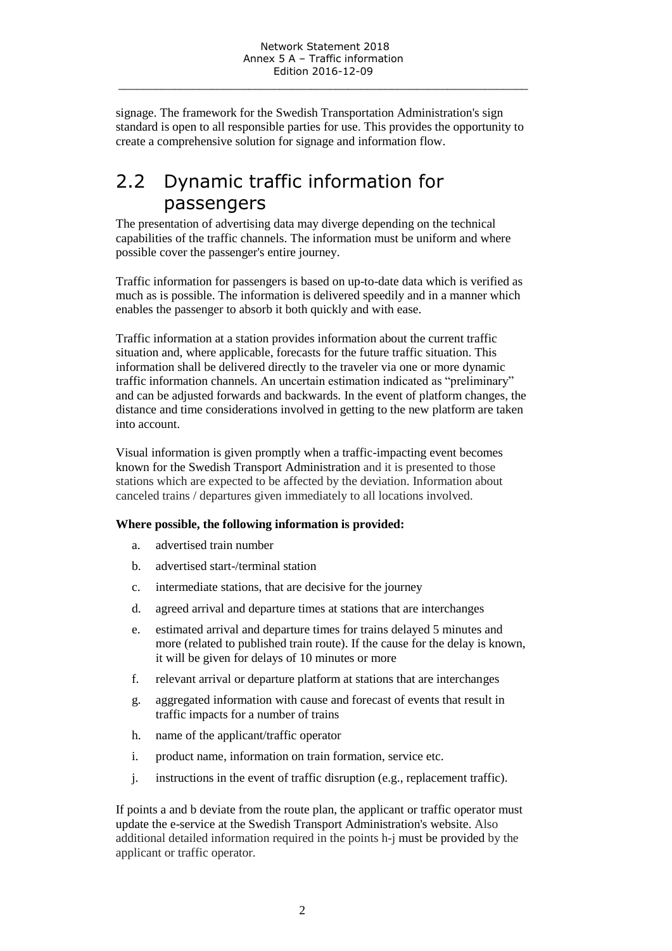signage. The framework for the Swedish Transportation Administration's sign standard is open to all responsible parties for use. This provides the opportunity to create a comprehensive solution for signage and information flow.

## 2.2 Dynamic traffic information for passengers

The presentation of advertising data may diverge depending on the technical capabilities of the traffic channels. The information must be uniform and where possible cover the passenger's entire journey.

Traffic information for passengers is based on up-to-date data which is verified as much as is possible. The information is delivered speedily and in a manner which enables the passenger to absorb it both quickly and with ease.

Traffic information at a station provides information about the current traffic situation and, where applicable, forecasts for the future traffic situation. This information shall be delivered directly to the traveler via one or more dynamic traffic information channels. An uncertain estimation indicated as "preliminary" and can be adjusted forwards and backwards. In the event of platform changes, the distance and time considerations involved in getting to the new platform are taken into account.

Visual information is given promptly when a traffic-impacting event becomes known for the Swedish Transport Administration and it is presented to those stations which are expected to be affected by the deviation. Information about canceled trains / departures given immediately to all locations involved.

#### **Where possible, the following information is provided:**

- a. advertised train number
- b. advertised start-/terminal station
- c. intermediate stations, that are decisive for the journey
- d. agreed arrival and departure times at stations that are interchanges
- e. estimated arrival and departure times for trains delayed 5 minutes and more (related to published train route). If the cause for the delay is known, it will be given for delays of 10 minutes or more
- f. relevant arrival or departure platform at stations that are interchanges
- g. aggregated information with cause and forecast of events that result in traffic impacts for a number of trains
- h. name of the applicant/traffic operator
- i. product name, information on train formation, service etc.
- j. instructions in the event of traffic disruption (e.g., replacement traffic).

If points a and b deviate from the route plan, the applicant or traffic operator must update the e-service at the Swedish Transport Administration's website. Also additional detailed information required in the points h-j must be provided by the applicant or traffic operator.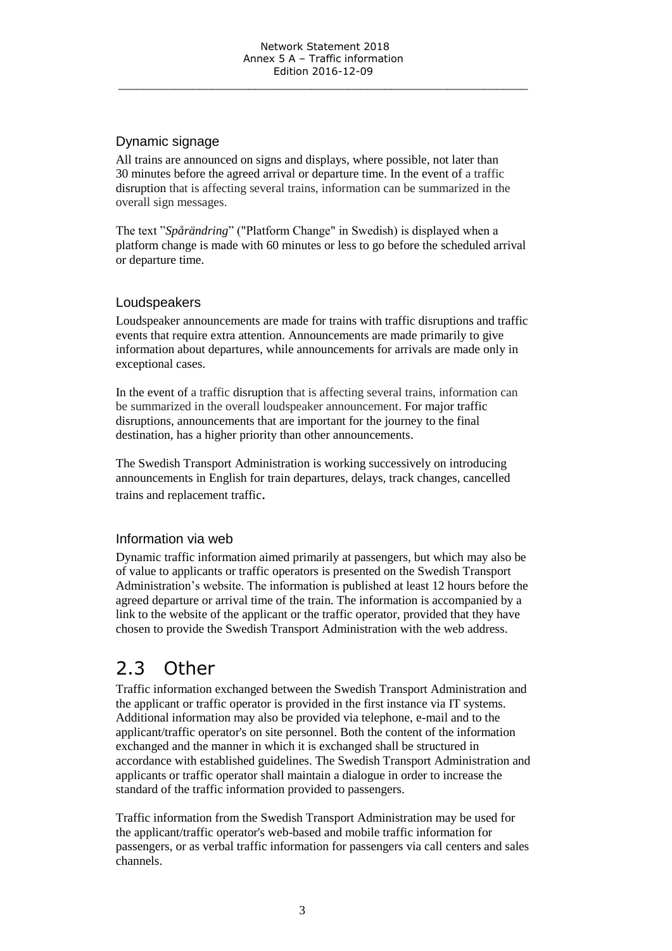#### Dynamic signage

All trains are announced on signs and displays, where possible, not later than 30 minutes before the agreed arrival or departure time. In the event of a traffic disruption that is affecting several trains, information can be summarized in the overall sign messages.

The text "*Spårändring*" ("Platform Change" in Swedish) is displayed when a platform change is made with 60 minutes or less to go before the scheduled arrival or departure time.

#### Loudspeakers

Loudspeaker announcements are made for trains with traffic disruptions and traffic events that require extra attention. Announcements are made primarily to give information about departures, while announcements for arrivals are made only in exceptional cases.

In the event of a traffic disruption that is affecting several trains, information can be summarized in the overall loudspeaker announcement. For major traffic disruptions, announcements that are important for the journey to the final destination, has a higher priority than other announcements.

The Swedish Transport Administration is working successively on introducing announcements in English for train departures, delays, track changes, cancelled trains and replacement traffic.

#### Information via web

Dynamic traffic information aimed primarily at passengers, but which may also be of value to applicants or traffic operators is presented on the Swedish Transport Administration's website. The information is published at least 12 hours before the agreed departure or arrival time of the train. The information is accompanied by a link to the website of the applicant or the traffic operator, provided that they have chosen to provide the Swedish Transport Administration with the web address.

## 2.3 Other

Traffic information exchanged between the Swedish Transport Administration and the applicant or traffic operator is provided in the first instance via IT systems. Additional information may also be provided via telephone, e-mail and to the applicant/traffic operator's on site personnel. Both the content of the information exchanged and the manner in which it is exchanged shall be structured in accordance with established guidelines. The Swedish Transport Administration and applicants or traffic operator shall maintain a dialogue in order to increase the standard of the traffic information provided to passengers.

Traffic information from the Swedish Transport Administration may be used for the applicant/traffic operator's web-based and mobile traffic information for passengers, or as verbal traffic information for passengers via call centers and sales channels.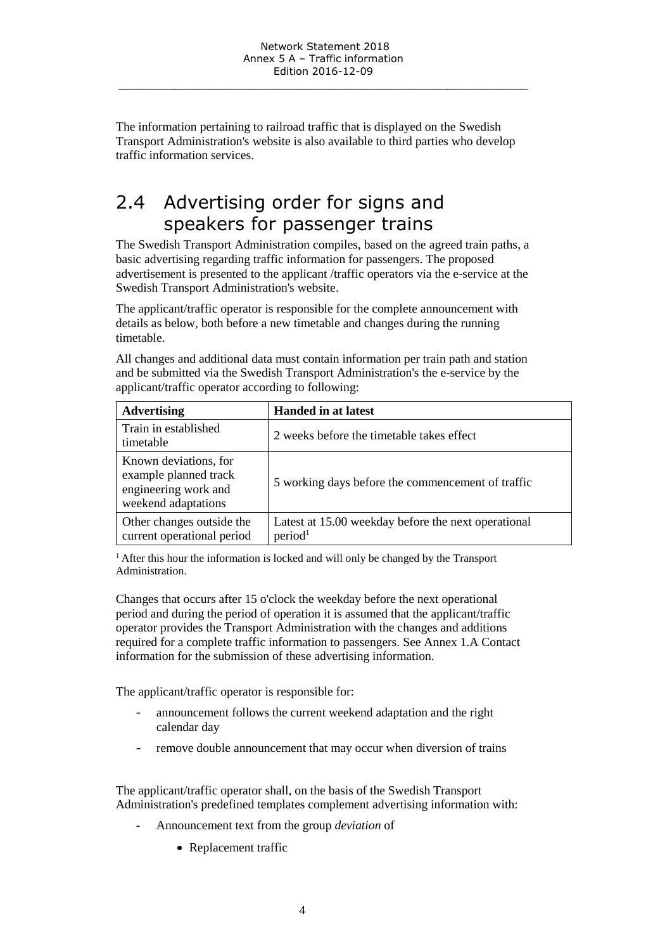The information pertaining to railroad traffic that is displayed on the Swedish Transport Administration's website is also available to third parties who develop traffic information services.

## 2.4 Advertising order for signs and speakers for passenger trains

The Swedish Transport Administration compiles, based on the agreed train paths, a basic advertising regarding traffic information for passengers. The proposed advertisement is presented to the applicant /traffic operators via the e-service at the Swedish Transport Administration's website.

The applicant/traffic operator is responsible for the complete announcement with details as below, both before a new timetable and changes during the running timetable.

All changes and additional data must contain information per train path and station and be submitted via the Swedish Transport Administration's the e-service by the applicant/traffic operator according to following:

| <b>Advertising</b>                                                                            | <b>Handed in at latest</b>                                                 |
|-----------------------------------------------------------------------------------------------|----------------------------------------------------------------------------|
| Train in established<br>timetable                                                             | 2 weeks before the timetable takes effect                                  |
| Known deviations, for<br>example planned track<br>engineering work and<br>weekend adaptations | 5 working days before the commencement of traffic                          |
| Other changes outside the<br>current operational period                                       | Latest at 15.00 weekday before the next operational<br>period <sup>1</sup> |

<sup>1</sup> After this hour the information is locked and will only be changed by the Transport Administration.

Changes that occurs after 15 o'clock the weekday before the next operational period and during the period of operation it is assumed that the applicant/traffic operator provides the Transport Administration with the changes and additions required for a complete traffic information to passengers. See Annex 1.A Contact information for the submission of these advertising information.

The applicant/traffic operator is responsible for:

- announcement follows the current weekend adaptation and the right calendar day
- remove double announcement that may occur when diversion of trains

The applicant/traffic operator shall, on the basis of the Swedish Transport Administration's predefined templates complement advertising information with:

- Announcement text from the group *deviation* of
	- Replacement traffic